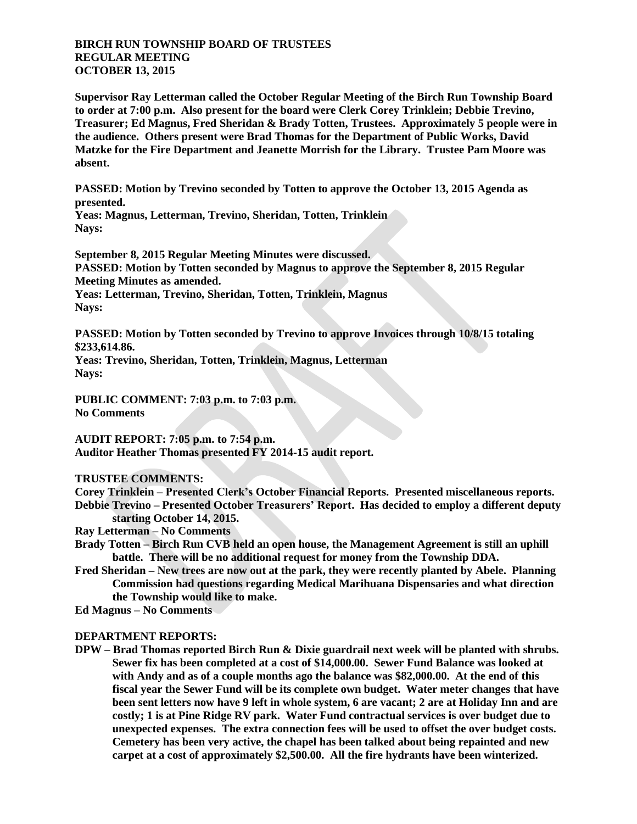## **BIRCH RUN TOWNSHIP BOARD OF TRUSTEES REGULAR MEETING OCTOBER 13, 2015**

**Supervisor Ray Letterman called the October Regular Meeting of the Birch Run Township Board to order at 7:00 p.m. Also present for the board were Clerk Corey Trinklein; Debbie Trevino, Treasurer; Ed Magnus, Fred Sheridan & Brady Totten, Trustees. Approximately 5 people were in the audience. Others present were Brad Thomas for the Department of Public Works, David Matzke for the Fire Department and Jeanette Morrish for the Library. Trustee Pam Moore was absent.**

**PASSED: Motion by Trevino seconded by Totten to approve the October 13, 2015 Agenda as presented.**

**Yeas: Magnus, Letterman, Trevino, Sheridan, Totten, Trinklein Nays:** 

**September 8, 2015 Regular Meeting Minutes were discussed. PASSED: Motion by Totten seconded by Magnus to approve the September 8, 2015 Regular Meeting Minutes as amended. Yeas: Letterman, Trevino, Sheridan, Totten, Trinklein, Magnus**

**Nays:** 

**PASSED: Motion by Totten seconded by Trevino to approve Invoices through 10/8/15 totaling \$233,614.86.**

**Yeas: Trevino, Sheridan, Totten, Trinklein, Magnus, Letterman Nays:** 

**PUBLIC COMMENT: 7:03 p.m. to 7:03 p.m. No Comments**

**AUDIT REPORT: 7:05 p.m. to 7:54 p.m. Auditor Heather Thomas presented FY 2014-15 audit report.**

## **TRUSTEE COMMENTS:**

**Corey Trinklein – Presented Clerk's October Financial Reports. Presented miscellaneous reports. Debbie Trevino – Presented October Treasurers' Report. Has decided to employ a different deputy starting October 14, 2015.**

**Ray Letterman – No Comments**

- **Brady Totten – Birch Run CVB held an open house, the Management Agreement is still an uphill battle. There will be no additional request for money from the Township DDA.**
- **Fred Sheridan – New trees are now out at the park, they were recently planted by Abele. Planning Commission had questions regarding Medical Marihuana Dispensaries and what direction the Township would like to make.**
- **Ed Magnus – No Comments**

## **DEPARTMENT REPORTS:**

**DPW – Brad Thomas reported Birch Run & Dixie guardrail next week will be planted with shrubs. Sewer fix has been completed at a cost of \$14,000.00. Sewer Fund Balance was looked at with Andy and as of a couple months ago the balance was \$82,000.00. At the end of this fiscal year the Sewer Fund will be its complete own budget. Water meter changes that have been sent letters now have 9 left in whole system, 6 are vacant; 2 are at Holiday Inn and are costly; 1 is at Pine Ridge RV park. Water Fund contractual services is over budget due to unexpected expenses. The extra connection fees will be used to offset the over budget costs. Cemetery has been very active, the chapel has been talked about being repainted and new carpet at a cost of approximately \$2,500.00. All the fire hydrants have been winterized.**